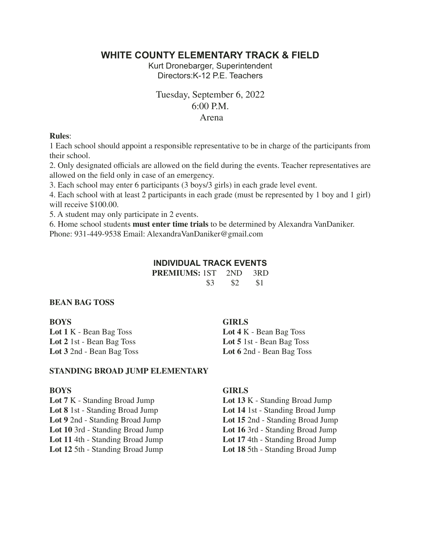# **WHITE COUNTY ELEMENTARY TRACK & FIELD**

Kurt Dronebarger, Superintendent Directors:K-12 P.E. Teachers

# Tuesday, September 6, 2022 6:00 P.M. Arena

### **Rules**:

1 Each school should appoint a responsible representative to be in charge of the participants from their school.

2. Only designated officials are allowed on the field during the events. Teacher representatives are allowed on the field only in case of an emergency.

3. Each school may enter 6 participants (3 boys/3 girls) in each grade level event.

4. Each school with at least 2 participants in each grade (must be represented by 1 boy and 1 girl) will receive \$100.00.

5. A student may only participate in 2 events.

6. Home school students **must enter time trials** to be determined by Alexandra VanDaniker. Phone: 931-449-9538 Email: AlexandraVanDaniker@gmail.com

## **INDIVIDUAL TRACK EVENTS**

| <b>PREMIUMS:</b> 1ST 2ND |     |     | $-3RD$ |
|--------------------------|-----|-----|--------|
|                          | \$3 | \$2 | -S 1   |

## **BEAN BAG TOSS**

| <b>BOYS</b>                      | <b>GIRLS</b>              |
|----------------------------------|---------------------------|
| <b>Lot 1 K - Bean Bag Toss</b>   | Lot 4 K - Bean Bag Toss   |
| <b>Lot 2</b> 1st - Bean Bag Toss | Lot 5 1st - Bean Bag Toss |
| <b>Lot 3</b> 2nd - Bean Bag Toss | Lot 6 2nd - Bean Bag Toss |
|                                  |                           |

## **STANDING BROAD JUMP ELEMENTARY**

**Lot 8** 1st - Standing Broad Jump **Lot 14** 1st - Standing Broad Jump **Lot 9** 2nd - Standing Broad Jump **Lot 15** 2nd - Standing Broad Jump **Lot 9** 2nd - Standing Broad Jump<br> **Lot 15** 2nd - Standing Broad Jump<br> **Lot 16** 3rd - Standing Broad Jump **Lot 10** 3rd - Standing Broad Jump **Lot 16** 3rd - Standing Broad Jump **Lot 11** 4th - Standing Broad Jump **Lot 17** 4th - Standing Broad Jump **Lot 12** 5th - Standing Broad Jump **Lot 18** 5th - Standing Broad Jump

## **BOYS GIRLS**

- **Lot 7** K Standing Broad Jump **Lot 13** K Standing Broad Jump
	-
	-
	- **Lot 11** 4th Standing Broad Jump **Lot 17** 4th Standing Broad Jump
	-